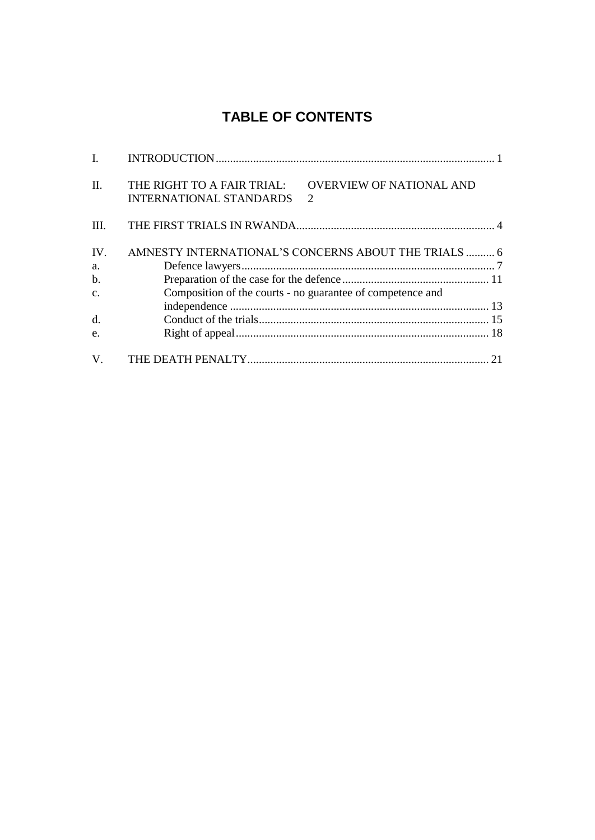## **TABLE OF CONTENTS**

| $\mathbf{I}$ . |                                                                                                                                |  |
|----------------|--------------------------------------------------------------------------------------------------------------------------------|--|
| $\Pi$ .        | <b>OVERVIEW OF NATIONAL AND</b><br>THE RIGHT TO A FAIR TRIAL:<br><b>INTERNATIONAL STANDARDS</b><br>$\mathcal{D}_{\mathcal{L}}$ |  |
| Ш.             |                                                                                                                                |  |
| IV.            | AMNESTY INTERNATIONAL'S CONCERNS ABOUT THE TRIALS  6                                                                           |  |
| a.             |                                                                                                                                |  |
| $b$ .          |                                                                                                                                |  |
| $\mathbf{C}$ . | Composition of the courts - no guarantee of competence and                                                                     |  |
|                |                                                                                                                                |  |
| d.             |                                                                                                                                |  |
| e.             |                                                                                                                                |  |
| $V_{\cdot}$    |                                                                                                                                |  |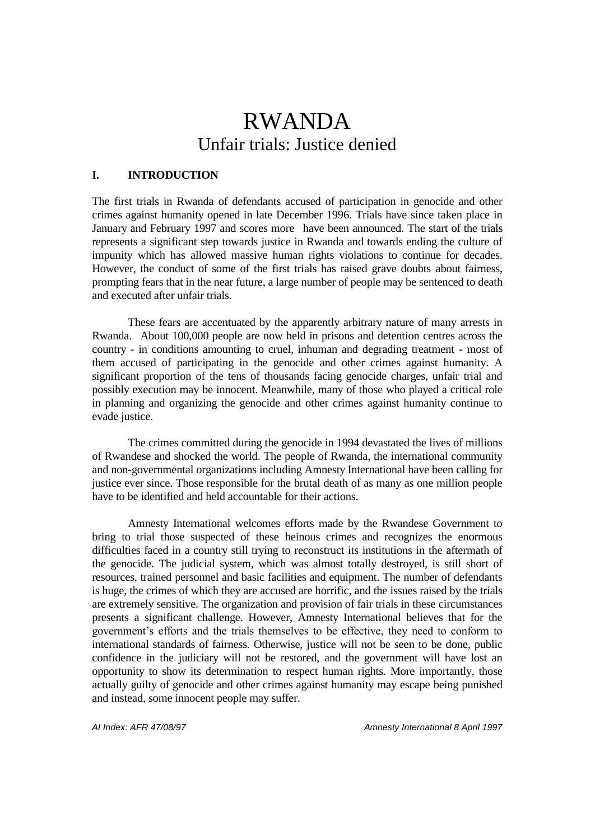# RWANDA Unfair trials: Justice denied

## **I. INTRODUCTION**

The first trials in Rwanda of defendants accused of participation in genocide and other crimes against humanity opened in late December 1996. Trials have since taken place in January and February 1997 and scores more have been announced. The start of the trials represents a significant step towards justice in Rwanda and towards ending the culture of impunity which has allowed massive human rights violations to continue for decades. However, the conduct of some of the first trials has raised grave doubts about fairness, prompting fears that in the near future, a large number of people may be sentenced to death and executed after unfair trials.

These fears are accentuated by the apparently arbitrary nature of many arrests in Rwanda. About 100,000 people are now held in prisons and detention centres across the country - in conditions amounting to cruel, inhuman and degrading treatment - most of them accused of participating in the genocide and other crimes against humanity. A significant proportion of the tens of thousands facing genocide charges, unfair trial and possibly execution may be innocent. Meanwhile, many of those who played a critical role in planning and organizing the genocide and other crimes against humanity continue to evade justice.

The crimes committed during the genocide in 1994 devastated the lives of millions of Rwandese and shocked the world. The people of Rwanda, the international community and non-governmental organizations including Amnesty International have been calling for justice ever since. Those responsible for the brutal death of as many as one million people have to be identified and held accountable for their actions.

Amnesty International welcomes efforts made by the Rwandese Government to bring to trial those suspected of these heinous crimes and recognizes the enormous difficulties faced in a country still trying to reconstruct its institutions in the aftermath of the genocide. The judicial system, which was almost totally destroyed, is still short of resources, trained personnel and basic facilities and equipment. The number of defendants is huge, the crimes of which they are accused are horrific, and the issues raised by the trials are extremely sensitive. The organization and provision of fair trials in these circumstances presents a significant challenge. However, Amnesty International believes that for the government's efforts and the trials themselves to be effective, they need to conform to international standards of fairness. Otherwise, justice will not be seen to be done, public confidence in the judiciary will not be restored, and the government will have lost an opportunity to show its determination to respect human rights. More importantly, those actually guilty of genocide and other crimes against humanity may escape being punished and instead, some innocent people may suffer.

*AI Index: AFR 47/08/97 Amnesty International 8 April 1997*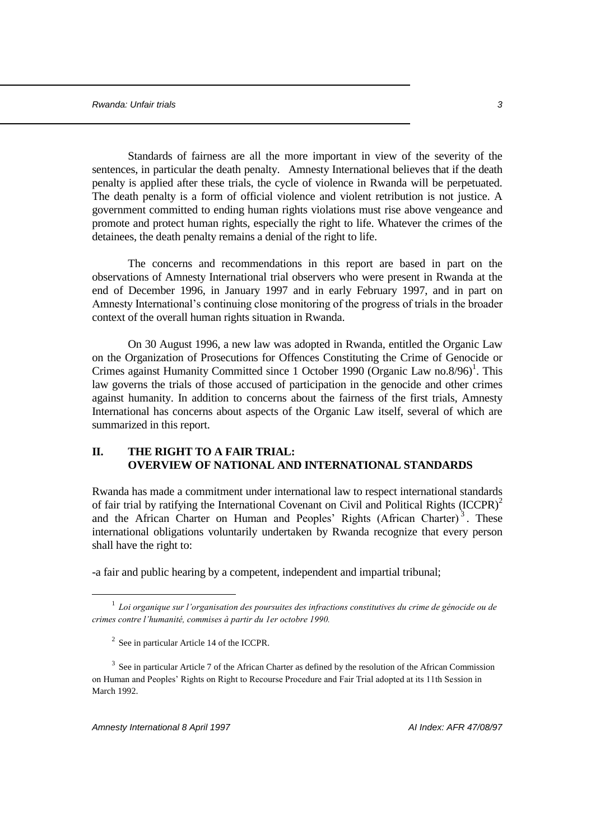Standards of fairness are all the more important in view of the severity of the sentences, in particular the death penalty. Amnesty International believes that if the death penalty is applied after these trials, the cycle of violence in Rwanda will be perpetuated. The death penalty is a form of official violence and violent retribution is not justice. A government committed to ending human rights violations must rise above vengeance and promote and protect human rights, especially the right to life. Whatever the crimes of the detainees, the death penalty remains a denial of the right to life.

The concerns and recommendations in this report are based in part on the observations of Amnesty International trial observers who were present in Rwanda at the end of December 1996, in January 1997 and in early February 1997, and in part on Amnesty International's continuing close monitoring of the progress of trials in the broader context of the overall human rights situation in Rwanda.

On 30 August 1996, a new law was adopted in Rwanda, entitled the Organic Law on the Organization of Prosecutions for Offences Constituting the Crime of Genocide or Crimes against Humanity Committed since 1 October 1990 (Organic Law no.8/96)<sup>1</sup>. This law governs the trials of those accused of participation in the genocide and other crimes against humanity. In addition to concerns about the fairness of the first trials, Amnesty International has concerns about aspects of the Organic Law itself, several of which are summarized in this report.

## **II. THE RIGHT TO A FAIR TRIAL: OVERVIEW OF NATIONAL AND INTERNATIONAL STANDARDS**

Rwanda has made a commitment under international law to respect international standards of fair trial by ratifying the International Covenant on Civil and Political Rights  $(ICCPR)^2$ and the African Charter on Human and Peoples' Rights (African Charter)<sup>3</sup>. These international obligations voluntarily undertaken by Rwanda recognize that every person shall have the right to:

-a fair and public hearing by a competent, independent and impartial tribunal;

<sup>1</sup> *Loi organique sur l'organisation des poursuites des infractions constitutives du crime de génocide ou de crimes contre l'humanité, commises à partir du 1er octobre 1990.* 

 $2^2$  See in particular Article 14 of the ICCPR.

 $3$  See in particular Article 7 of the African Charter as defined by the resolution of the African Commission on Human and Peoples' Rights on Right to Recourse Procedure and Fair Trial adopted at its 11th Session in March 1992.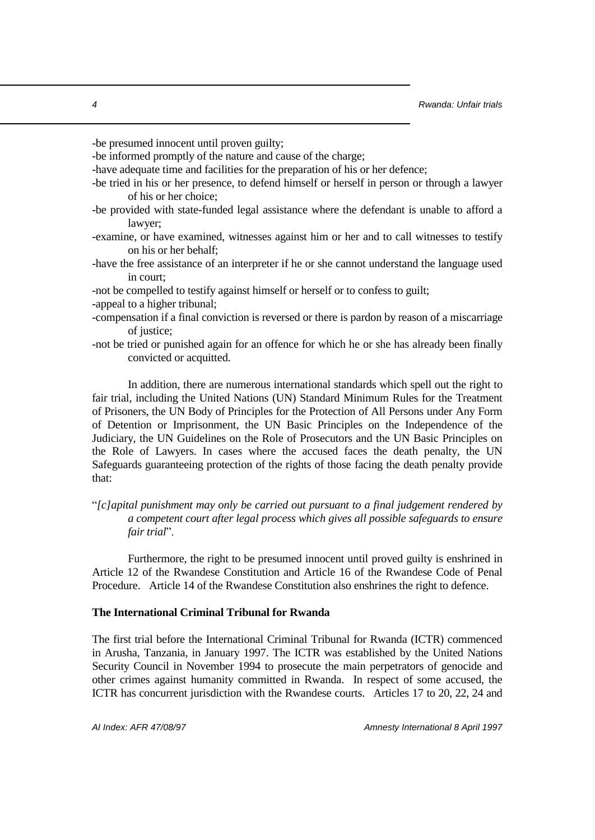-be presumed innocent until proven guilty;

-be informed promptly of the nature and cause of the charge;

-have adequate time and facilities for the preparation of his or her defence;

- -be tried in his or her presence, to defend himself or herself in person or through a lawyer of his or her choice;
- -be provided with state-funded legal assistance where the defendant is unable to afford a lawyer;
- -examine, or have examined, witnesses against him or her and to call witnesses to testify on his or her behalf;
- -have the free assistance of an interpreter if he or she cannot understand the language used in court;
- -not be compelled to testify against himself or herself or to confess to guilt;
- -appeal to a higher tribunal;
- -compensation if a final conviction is reversed or there is pardon by reason of a miscarriage of justice;
- -not be tried or punished again for an offence for which he or she has already been finally convicted or acquitted.

In addition, there are numerous international standards which spell out the right to fair trial, including the United Nations (UN) Standard Minimum Rules for the Treatment of Prisoners, the UN Body of Principles for the Protection of All Persons under Any Form of Detention or Imprisonment, the UN Basic Principles on the Independence of the Judiciary, the UN Guidelines on the Role of Prosecutors and the UN Basic Principles on the Role of Lawyers. In cases where the accused faces the death penalty, the UN Safeguards guaranteeing protection of the rights of those facing the death penalty provide that:

"*[c]apital punishment may only be carried out pursuant to a final judgement rendered by a competent court after legal process which gives all possible safeguards to ensure fair trial*".

Furthermore, the right to be presumed innocent until proved guilty is enshrined in Article 12 of the Rwandese Constitution and Article 16 of the Rwandese Code of Penal Procedure. Article 14 of the Rwandese Constitution also enshrines the right to defence.

## **The International Criminal Tribunal for Rwanda**

The first trial before the International Criminal Tribunal for Rwanda (ICTR) commenced in Arusha, Tanzania, in January 1997. The ICTR was established by the United Nations Security Council in November 1994 to prosecute the main perpetrators of genocide and other crimes against humanity committed in Rwanda. In respect of some accused, the ICTR has concurrent jurisdiction with the Rwandese courts. Articles 17 to 20, 22, 24 and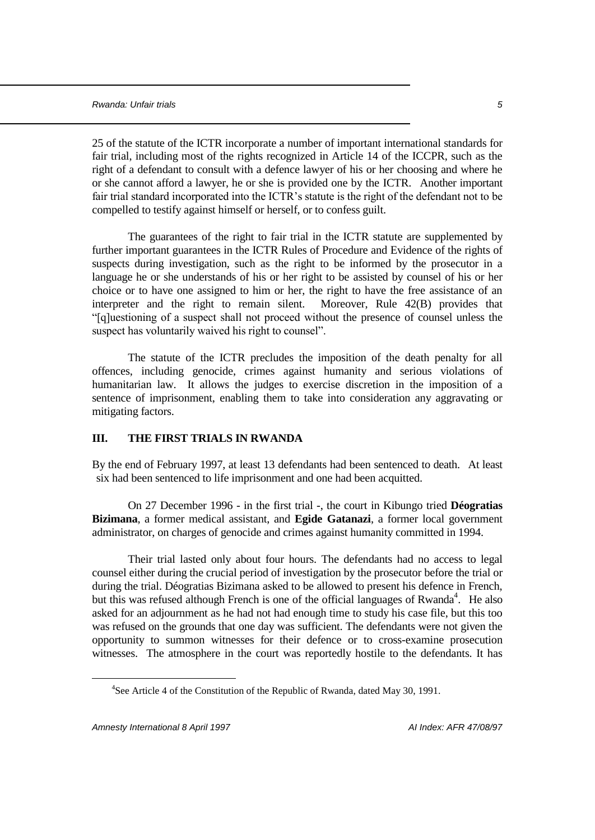25 of the statute of the ICTR incorporate a number of important international standards for fair trial, including most of the rights recognized in Article 14 of the ICCPR, such as the right of a defendant to consult with a defence lawyer of his or her choosing and where he or she cannot afford a lawyer, he or she is provided one by the ICTR. Another important fair trial standard incorporated into the ICTR's statute is the right of the defendant not to be compelled to testify against himself or herself, or to confess guilt.

The guarantees of the right to fair trial in the ICTR statute are supplemented by further important guarantees in the ICTR Rules of Procedure and Evidence of the rights of suspects during investigation, such as the right to be informed by the prosecutor in a language he or she understands of his or her right to be assisted by counsel of his or her choice or to have one assigned to him or her, the right to have the free assistance of an interpreter and the right to remain silent. Moreover, Rule 42(B) provides that "[q]uestioning of a suspect shall not proceed without the presence of counsel unless the suspect has voluntarily waived his right to counsel".

The statute of the ICTR precludes the imposition of the death penalty for all offences, including genocide, crimes against humanity and serious violations of humanitarian law. It allows the judges to exercise discretion in the imposition of a sentence of imprisonment, enabling them to take into consideration any aggravating or mitigating factors.

## **III. THE FIRST TRIALS IN RWANDA**

By the end of February 1997, at least 13 defendants had been sentenced to death. At least six had been sentenced to life imprisonment and one had been acquitted.

On 27 December 1996 - in the first trial -, the court in Kibungo tried **Déogratias Bizimana**, a former medical assistant, and **Egide Gatanazi**, a former local government administrator, on charges of genocide and crimes against humanity committed in 1994.

Their trial lasted only about four hours. The defendants had no access to legal counsel either during the crucial period of investigation by the prosecutor before the trial or during the trial. Déogratias Bizimana asked to be allowed to present his defence in French, but this was refused although French is one of the official languages of Rwanda<sup>4</sup>. He also asked for an adjournment as he had not had enough time to study his case file, but this too was refused on the grounds that one day was sufficient. The defendants were not given the opportunity to summon witnesses for their defence or to cross-examine prosecution witnesses. The atmosphere in the court was reportedly hostile to the defendants. It has

<sup>&</sup>lt;sup>4</sup>See Article 4 of the Constitution of the Republic of Rwanda, dated May 30, 1991.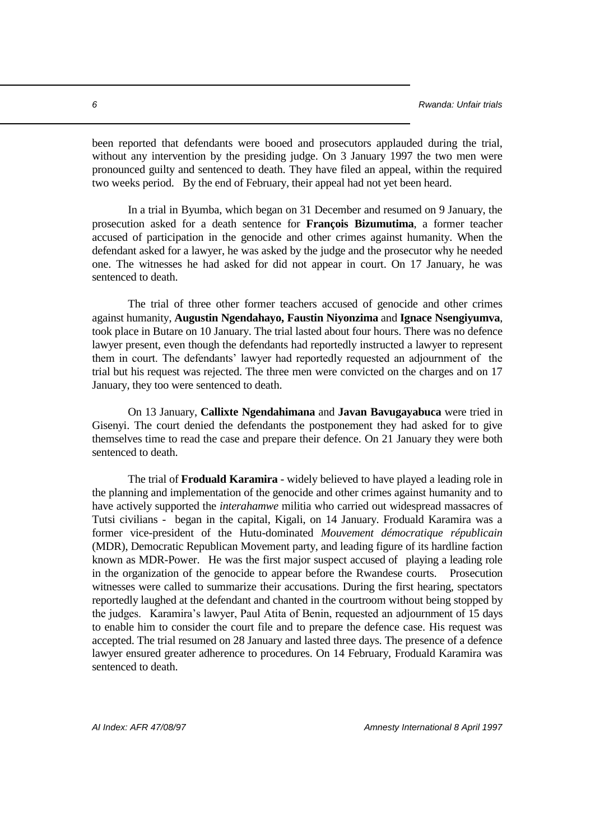been reported that defendants were booed and prosecutors applauded during the trial, without any intervention by the presiding judge. On 3 January 1997 the two men were pronounced guilty and sentenced to death. They have filed an appeal, within the required two weeks period. By the end of February, their appeal had not yet been heard.

In a trial in Byumba, which began on 31 December and resumed on 9 January, the prosecution asked for a death sentence for **François Bizumutima**, a former teacher accused of participation in the genocide and other crimes against humanity. When the defendant asked for a lawyer, he was asked by the judge and the prosecutor why he needed one. The witnesses he had asked for did not appear in court. On 17 January, he was sentenced to death.

The trial of three other former teachers accused of genocide and other crimes against humanity, **Augustin Ngendahayo, Faustin Niyonzima** and **Ignace Nsengiyumva**, took place in Butare on 10 January. The trial lasted about four hours. There was no defence lawyer present, even though the defendants had reportedly instructed a lawyer to represent them in court. The defendants' lawyer had reportedly requested an adjournment of the trial but his request was rejected. The three men were convicted on the charges and on 17 January, they too were sentenced to death.

On 13 January, **Callixte Ngendahimana** and **Javan Bavugayabuca** were tried in Gisenyi. The court denied the defendants the postponement they had asked for to give themselves time to read the case and prepare their defence. On 21 January they were both sentenced to death.

The trial of **Froduald Karamira** - widely believed to have played a leading role in the planning and implementation of the genocide and other crimes against humanity and to have actively supported the *interahamwe* militia who carried out widespread massacres of Tutsi civilians - began in the capital, Kigali, on 14 January. Froduald Karamira was a former vice-president of the Hutu-dominated *Mouvement démocratique républicain* (MDR), Democratic Republican Movement party, and leading figure of its hardline faction known as MDR-Power. He was the first major suspect accused of playing a leading role in the organization of the genocide to appear before the Rwandese courts. Prosecution witnesses were called to summarize their accusations. During the first hearing, spectators reportedly laughed at the defendant and chanted in the courtroom without being stopped by the judges. Karamira's lawyer, Paul Atita of Benin, requested an adjournment of 15 days to enable him to consider the court file and to prepare the defence case. His request was accepted. The trial resumed on 28 January and lasted three days. The presence of a defence lawyer ensured greater adherence to procedures. On 14 February, Froduald Karamira was sentenced to death.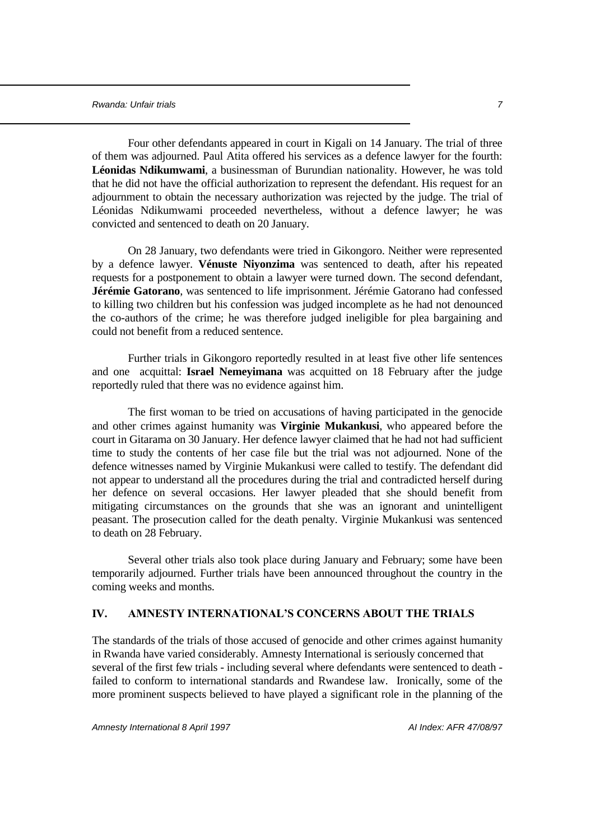Four other defendants appeared in court in Kigali on 14 January. The trial of three of them was adjourned. Paul Atita offered his services as a defence lawyer for the fourth: **Léonidas Ndikumwami**, a businessman of Burundian nationality. However, he was told that he did not have the official authorization to represent the defendant. His request for an adjournment to obtain the necessary authorization was rejected by the judge. The trial of Léonidas Ndikumwami proceeded nevertheless, without a defence lawyer; he was convicted and sentenced to death on 20 January.

On 28 January, two defendants were tried in Gikongoro. Neither were represented by a defence lawyer. **Vénuste Niyonzima** was sentenced to death, after his repeated requests for a postponement to obtain a lawyer were turned down. The second defendant, **Jérémie Gatorano**, was sentenced to life imprisonment. Jérémie Gatorano had confessed to killing two children but his confession was judged incomplete as he had not denounced the co-authors of the crime; he was therefore judged ineligible for plea bargaining and could not benefit from a reduced sentence.

Further trials in Gikongoro reportedly resulted in at least five other life sentences and one acquittal: **Israel Nemeyimana** was acquitted on 18 February after the judge reportedly ruled that there was no evidence against him.

The first woman to be tried on accusations of having participated in the genocide and other crimes against humanity was **Virginie Mukankusi**, who appeared before the court in Gitarama on 30 January. Her defence lawyer claimed that he had not had sufficient time to study the contents of her case file but the trial was not adjourned. None of the defence witnesses named by Virginie Mukankusi were called to testify. The defendant did not appear to understand all the procedures during the trial and contradicted herself during her defence on several occasions. Her lawyer pleaded that she should benefit from mitigating circumstances on the grounds that she was an ignorant and unintelligent peasant. The prosecution called for the death penalty. Virginie Mukankusi was sentenced to death on 28 February.

Several other trials also took place during January and February; some have been temporarily adjourned. Further trials have been announced throughout the country in the coming weeks and months.

## **IV. AMNESTY INTERNATIONAL'S CONCERNS ABOUT THE TRIALS**

The standards of the trials of those accused of genocide and other crimes against humanity in Rwanda have varied considerably. Amnesty International is seriously concerned that several of the first few trials - including several where defendants were sentenced to death failed to conform to international standards and Rwandese law. Ironically, some of the more prominent suspects believed to have played a significant role in the planning of the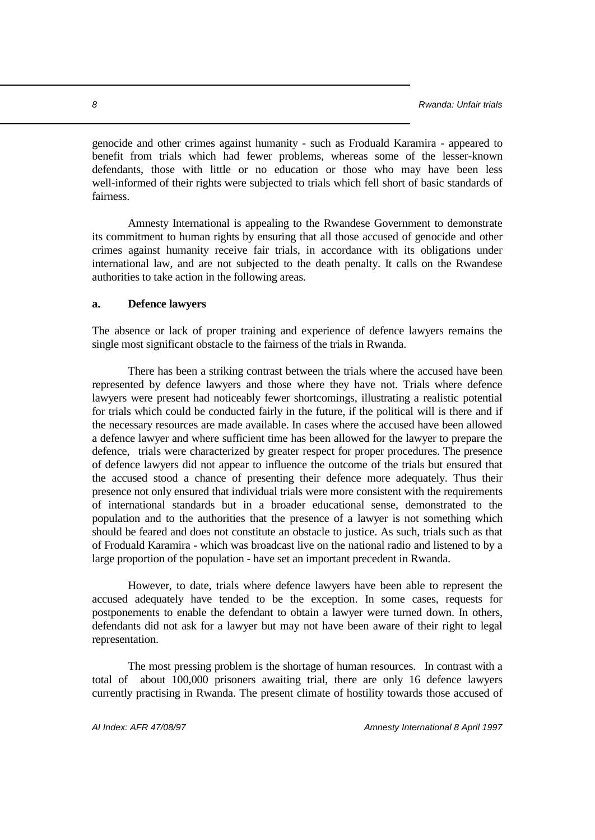genocide and other crimes against humanity - such as Froduald Karamira - appeared to benefit from trials which had fewer problems, whereas some of the lesser-known defendants, those with little or no education or those who may have been less well-informed of their rights were subjected to trials which fell short of basic standards of fairness.

Amnesty International is appealing to the Rwandese Government to demonstrate its commitment to human rights by ensuring that all those accused of genocide and other crimes against humanity receive fair trials, in accordance with its obligations under international law, and are not subjected to the death penalty. It calls on the Rwandese authorities to take action in the following areas.

#### **a. Defence lawyers**

The absence or lack of proper training and experience of defence lawyers remains the single most significant obstacle to the fairness of the trials in Rwanda.

There has been a striking contrast between the trials where the accused have been represented by defence lawyers and those where they have not. Trials where defence lawyers were present had noticeably fewer shortcomings, illustrating a realistic potential for trials which could be conducted fairly in the future, if the political will is there and if the necessary resources are made available. In cases where the accused have been allowed a defence lawyer and where sufficient time has been allowed for the lawyer to prepare the defence, trials were characterized by greater respect for proper procedures. The presence of defence lawyers did not appear to influence the outcome of the trials but ensured that the accused stood a chance of presenting their defence more adequately. Thus their presence not only ensured that individual trials were more consistent with the requirements of international standards but in a broader educational sense, demonstrated to the population and to the authorities that the presence of a lawyer is not something which should be feared and does not constitute an obstacle to justice. As such, trials such as that of Froduald Karamira - which was broadcast live on the national radio and listened to by a large proportion of the population - have set an important precedent in Rwanda.

However, to date, trials where defence lawyers have been able to represent the accused adequately have tended to be the exception. In some cases, requests for postponements to enable the defendant to obtain a lawyer were turned down. In others, defendants did not ask for a lawyer but may not have been aware of their right to legal representation.

The most pressing problem is the shortage of human resources. In contrast with a total of about 100,000 prisoners awaiting trial, there are only 16 defence lawyers currently practising in Rwanda. The present climate of hostility towards those accused of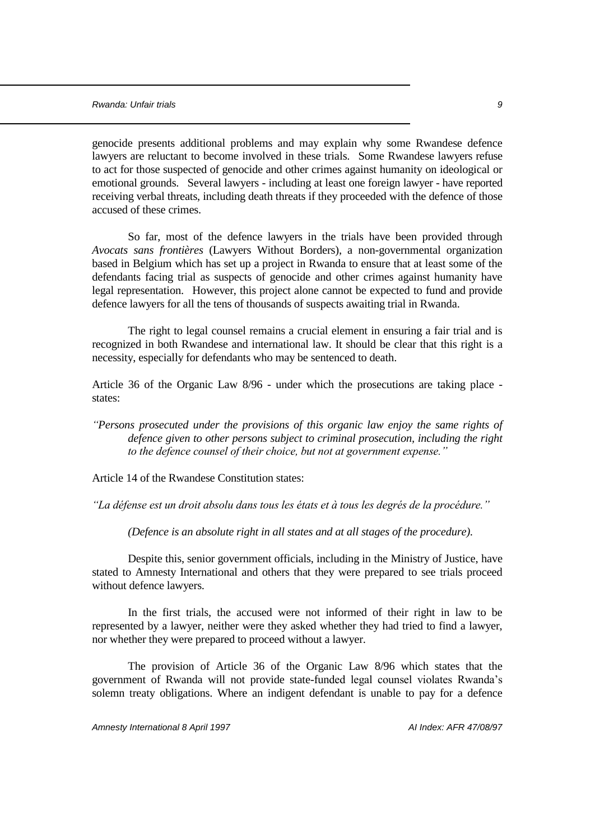genocide presents additional problems and may explain why some Rwandese defence lawyers are reluctant to become involved in these trials. Some Rwandese lawyers refuse to act for those suspected of genocide and other crimes against humanity on ideological or emotional grounds. Several lawyers - including at least one foreign lawyer - have reported receiving verbal threats, including death threats if they proceeded with the defence of those accused of these crimes.

So far, most of the defence lawyers in the trials have been provided through *Avocats sans frontières* (Lawyers Without Borders), a non-governmental organization based in Belgium which has set up a project in Rwanda to ensure that at least some of the defendants facing trial as suspects of genocide and other crimes against humanity have legal representation. However, this project alone cannot be expected to fund and provide defence lawyers for all the tens of thousands of suspects awaiting trial in Rwanda.

The right to legal counsel remains a crucial element in ensuring a fair trial and is recognized in both Rwandese and international law. It should be clear that this right is a necessity, especially for defendants who may be sentenced to death.

Article 36 of the Organic Law 8/96 - under which the prosecutions are taking place states:

*"Persons prosecuted under the provisions of this organic law enjoy the same rights of defence given to other persons subject to criminal prosecution, including the right to the defence counsel of their choice, but not at government expense."*

Article 14 of the Rwandese Constitution states:

*"La défense est un droit absolu dans tous les états et à tous les degrés de la procédure."*

*(Defence is an absolute right in all states and at all stages of the procedure).* 

Despite this, senior government officials, including in the Ministry of Justice, have stated to Amnesty International and others that they were prepared to see trials proceed without defence lawyers.

In the first trials, the accused were not informed of their right in law to be represented by a lawyer, neither were they asked whether they had tried to find a lawyer, nor whether they were prepared to proceed without a lawyer.

The provision of Article 36 of the Organic Law 8/96 which states that the government of Rwanda will not provide state-funded legal counsel violates Rwanda's solemn treaty obligations. Where an indigent defendant is unable to pay for a defence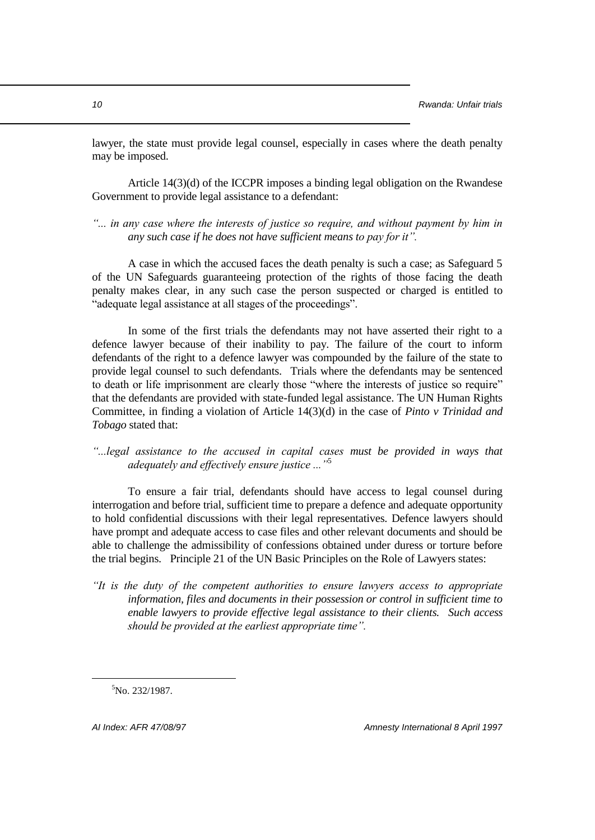lawyer, the state must provide legal counsel, especially in cases where the death penalty may be imposed.

Article 14(3)(d) of the ICCPR imposes a binding legal obligation on the Rwandese Government to provide legal assistance to a defendant:

## *"... in any case where the interests of justice so require, and without payment by him in any such case if he does not have sufficient means to pay for it".*

A case in which the accused faces the death penalty is such a case; as Safeguard 5 of the UN Safeguards guaranteeing protection of the rights of those facing the death penalty makes clear, in any such case the person suspected or charged is entitled to "adequate legal assistance at all stages of the proceedings".

In some of the first trials the defendants may not have asserted their right to a defence lawyer because of their inability to pay. The failure of the court to inform defendants of the right to a defence lawyer was compounded by the failure of the state to provide legal counsel to such defendants. Trials where the defendants may be sentenced to death or life imprisonment are clearly those "where the interests of justice so require" that the defendants are provided with state-funded legal assistance. The UN Human Rights Committee, in finding a violation of Article 14(3)(d) in the case of *Pinto v Trinidad and Tobago* stated that:

*"...legal assistance to the accused in capital cases must be provided in ways that adequately and effectively ensure justice ..."*<sup>5</sup>

To ensure a fair trial, defendants should have access to legal counsel during interrogation and before trial, sufficient time to prepare a defence and adequate opportunity to hold confidential discussions with their legal representatives. Defence lawyers should have prompt and adequate access to case files and other relevant documents and should be able to challenge the admissibility of confessions obtained under duress or torture before the trial begins. Principle 21 of the UN Basic Principles on the Role of Lawyers states:

*"It is the duty of the competent authorities to ensure lawyers access to appropriate information, files and documents in their possession or control in sufficient time to enable lawyers to provide effective legal assistance to their clients. Such access should be provided at the earliest appropriate time".*

 ${}^{5}$ No. 232/1987.

÷.

*AI Index: AFR 47/08/97 Amnesty International 8 April 1997*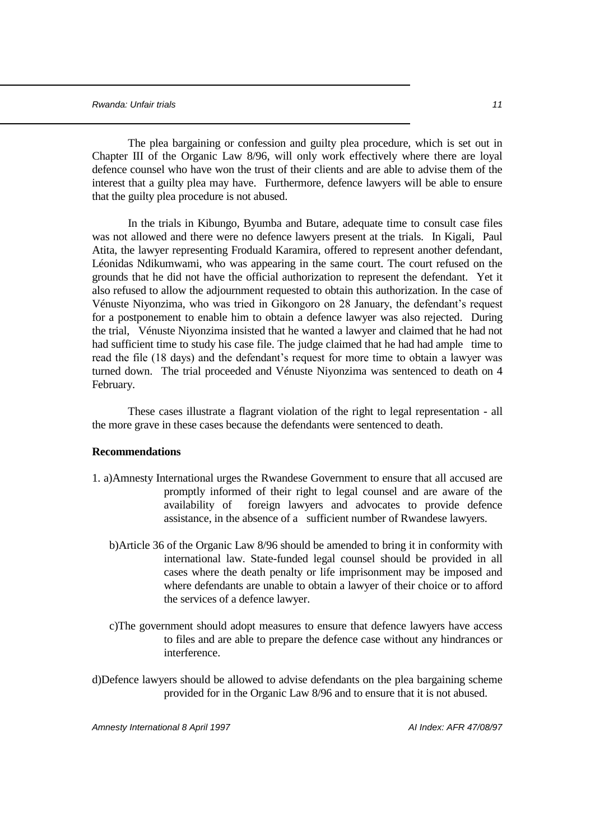The plea bargaining or confession and guilty plea procedure, which is set out in Chapter III of the Organic Law 8/96, will only work effectively where there are loyal defence counsel who have won the trust of their clients and are able to advise them of the interest that a guilty plea may have. Furthermore, defence lawyers will be able to ensure that the guilty plea procedure is not abused.

In the trials in Kibungo, Byumba and Butare, adequate time to consult case files was not allowed and there were no defence lawyers present at the trials. In Kigali, Paul Atita, the lawyer representing Froduald Karamira, offered to represent another defendant, Léonidas Ndikumwami, who was appearing in the same court. The court refused on the grounds that he did not have the official authorization to represent the defendant. Yet it also refused to allow the adjournment requested to obtain this authorization. In the case of Vénuste Niyonzima, who was tried in Gikongoro on 28 January, the defendant's request for a postponement to enable him to obtain a defence lawyer was also rejected. During the trial, Vénuste Niyonzima insisted that he wanted a lawyer and claimed that he had not had sufficient time to study his case file. The judge claimed that he had had ample time to read the file (18 days) and the defendant's request for more time to obtain a lawyer was turned down. The trial proceeded and Vénuste Niyonzima was sentenced to death on 4 February.

These cases illustrate a flagrant violation of the right to legal representation - all the more grave in these cases because the defendants were sentenced to death.

## **Recommendations**

- 1. a)Amnesty International urges the Rwandese Government to ensure that all accused are promptly informed of their right to legal counsel and are aware of the availability of foreign lawyers and advocates to provide defence assistance, in the absence of a sufficient number of Rwandese lawyers.
	- b)Article 36 of the Organic Law 8/96 should be amended to bring it in conformity with international law. State-funded legal counsel should be provided in all cases where the death penalty or life imprisonment may be imposed and where defendants are unable to obtain a lawyer of their choice or to afford the services of a defence lawyer.
	- c)The government should adopt measures to ensure that defence lawyers have access to files and are able to prepare the defence case without any hindrances or interference.
- d)Defence lawyers should be allowed to advise defendants on the plea bargaining scheme provided for in the Organic Law 8/96 and to ensure that it is not abused.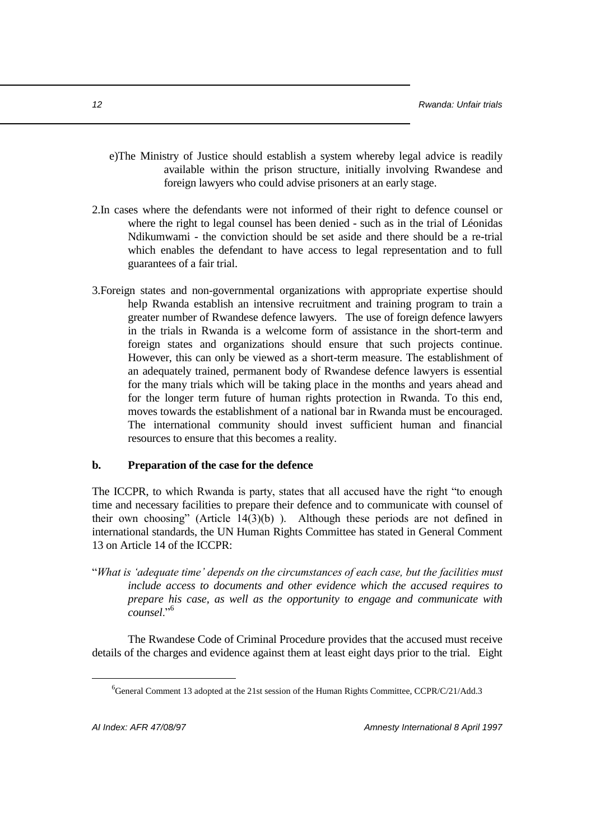- e)The Ministry of Justice should establish a system whereby legal advice is readily available within the prison structure, initially involving Rwandese and foreign lawyers who could advise prisoners at an early stage.
- 2.In cases where the defendants were not informed of their right to defence counsel or where the right to legal counsel has been denied - such as in the trial of Léonidas Ndikumwami - the conviction should be set aside and there should be a re-trial which enables the defendant to have access to legal representation and to full guarantees of a fair trial.
- 3.Foreign states and non-governmental organizations with appropriate expertise should help Rwanda establish an intensive recruitment and training program to train a greater number of Rwandese defence lawyers. The use of foreign defence lawyers in the trials in Rwanda is a welcome form of assistance in the short-term and foreign states and organizations should ensure that such projects continue. However, this can only be viewed as a short-term measure. The establishment of an adequately trained, permanent body of Rwandese defence lawyers is essential for the many trials which will be taking place in the months and years ahead and for the longer term future of human rights protection in Rwanda. To this end, moves towards the establishment of a national bar in Rwanda must be encouraged. The international community should invest sufficient human and financial resources to ensure that this becomes a reality.

## **b. Preparation of the case for the defence**

The ICCPR, to which Rwanda is party, states that all accused have the right "to enough time and necessary facilities to prepare their defence and to communicate with counsel of their own choosing" (Article  $14(3)(b)$ ). Although these periods are not defined in international standards, the UN Human Rights Committee has stated in General Comment 13 on Article 14 of the ICCPR:

"*What is 'adequate time' depends on the circumstances of each case, but the facilities must include access to documents and other evidence which the accused requires to prepare his case, as well as the opportunity to engage and communicate with counsel*."<sup>6</sup>

The Rwandese Code of Criminal Procedure provides that the accused must receive details of the charges and evidence against them at least eight days prior to the trial. Eight

 ${}^{6}$ General Comment 13 adopted at the 21st session of the Human Rights Committee, CCPR/C/21/Add.3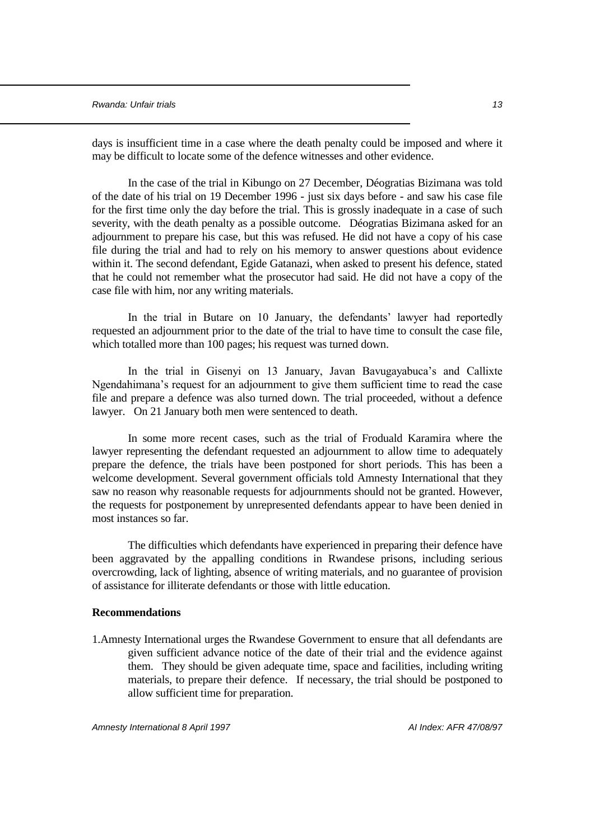days is insufficient time in a case where the death penalty could be imposed and where it may be difficult to locate some of the defence witnesses and other evidence.

In the case of the trial in Kibungo on 27 December, Déogratias Bizimana was told of the date of his trial on 19 December 1996 - just six days before - and saw his case file for the first time only the day before the trial. This is grossly inadequate in a case of such severity, with the death penalty as a possible outcome. Déogratias Bizimana asked for an adjournment to prepare his case, but this was refused. He did not have a copy of his case file during the trial and had to rely on his memory to answer questions about evidence within it. The second defendant, Egide Gatanazi, when asked to present his defence, stated that he could not remember what the prosecutor had said. He did not have a copy of the case file with him, nor any writing materials.

In the trial in Butare on 10 January, the defendants' lawyer had reportedly requested an adjournment prior to the date of the trial to have time to consult the case file, which totalled more than 100 pages; his request was turned down.

In the trial in Gisenyi on 13 January, Javan Bavugayabuca's and Callixte Ngendahimana's request for an adjournment to give them sufficient time to read the case file and prepare a defence was also turned down. The trial proceeded, without a defence lawyer. On 21 January both men were sentenced to death.

In some more recent cases, such as the trial of Froduald Karamira where the lawyer representing the defendant requested an adjournment to allow time to adequately prepare the defence, the trials have been postponed for short periods. This has been a welcome development. Several government officials told Amnesty International that they saw no reason why reasonable requests for adjournments should not be granted. However, the requests for postponement by unrepresented defendants appear to have been denied in most instances so far.

The difficulties which defendants have experienced in preparing their defence have been aggravated by the appalling conditions in Rwandese prisons, including serious overcrowding, lack of lighting, absence of writing materials, and no guarantee of provision of assistance for illiterate defendants or those with little education.

#### **Recommendations**

1.Amnesty International urges the Rwandese Government to ensure that all defendants are given sufficient advance notice of the date of their trial and the evidence against them. They should be given adequate time, space and facilities, including writing materials, to prepare their defence. If necessary, the trial should be postponed to allow sufficient time for preparation.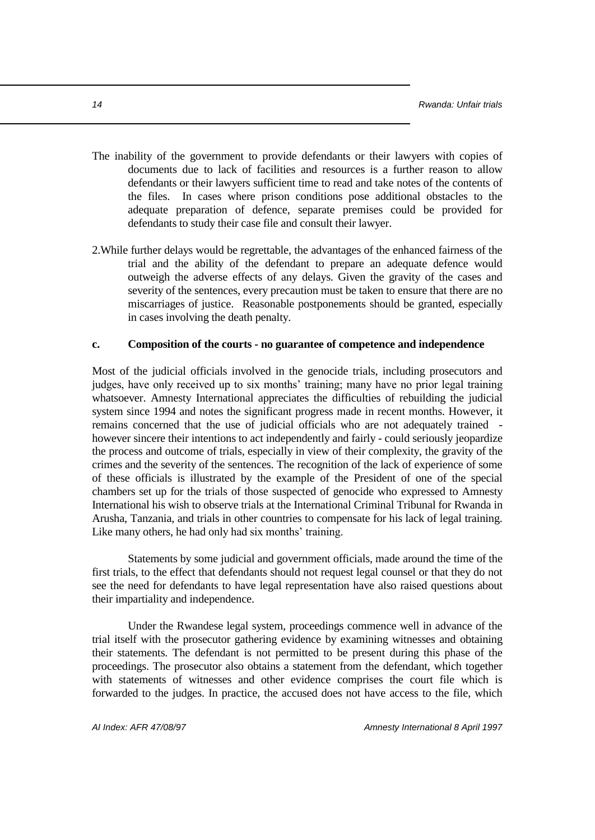- The inability of the government to provide defendants or their lawyers with copies of documents due to lack of facilities and resources is a further reason to allow defendants or their lawyers sufficient time to read and take notes of the contents of the files. In cases where prison conditions pose additional obstacles to the adequate preparation of defence, separate premises could be provided for defendants to study their case file and consult their lawyer.
- 2.While further delays would be regrettable, the advantages of the enhanced fairness of the trial and the ability of the defendant to prepare an adequate defence would outweigh the adverse effects of any delays. Given the gravity of the cases and severity of the sentences, every precaution must be taken to ensure that there are no miscarriages of justice. Reasonable postponements should be granted, especially in cases involving the death penalty.

#### **c. Composition of the courts - no guarantee of competence and independence**

Most of the judicial officials involved in the genocide trials, including prosecutors and judges, have only received up to six months' training; many have no prior legal training whatsoever. Amnesty International appreciates the difficulties of rebuilding the judicial system since 1994 and notes the significant progress made in recent months. However, it remains concerned that the use of judicial officials who are not adequately trained however sincere their intentions to act independently and fairly - could seriously jeopardize the process and outcome of trials, especially in view of their complexity, the gravity of the crimes and the severity of the sentences. The recognition of the lack of experience of some of these officials is illustrated by the example of the President of one of the special chambers set up for the trials of those suspected of genocide who expressed to Amnesty International his wish to observe trials at the International Criminal Tribunal for Rwanda in Arusha, Tanzania, and trials in other countries to compensate for his lack of legal training. Like many others, he had only had six months' training.

Statements by some judicial and government officials, made around the time of the first trials, to the effect that defendants should not request legal counsel or that they do not see the need for defendants to have legal representation have also raised questions about their impartiality and independence.

Under the Rwandese legal system, proceedings commence well in advance of the trial itself with the prosecutor gathering evidence by examining witnesses and obtaining their statements. The defendant is not permitted to be present during this phase of the proceedings. The prosecutor also obtains a statement from the defendant, which together with statements of witnesses and other evidence comprises the court file which is forwarded to the judges. In practice, the accused does not have access to the file, which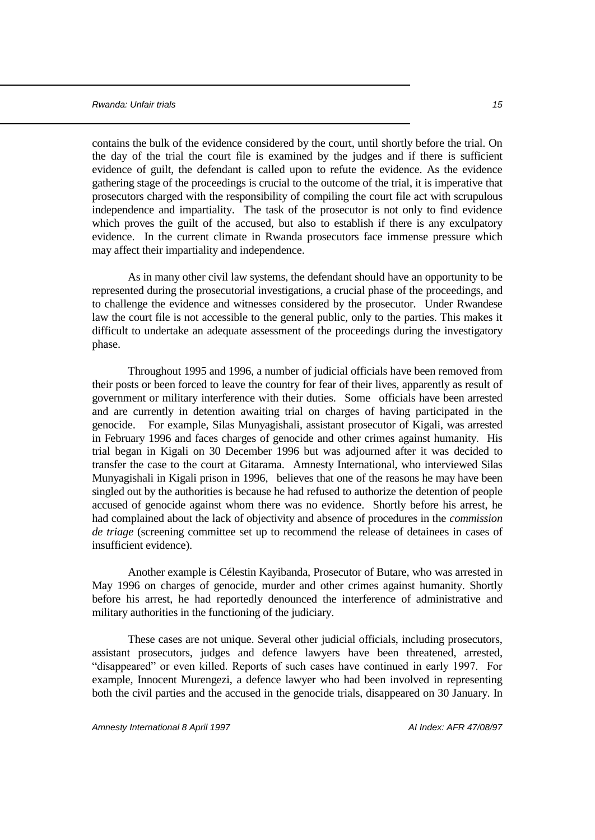contains the bulk of the evidence considered by the court, until shortly before the trial. On the day of the trial the court file is examined by the judges and if there is sufficient evidence of guilt, the defendant is called upon to refute the evidence. As the evidence gathering stage of the proceedings is crucial to the outcome of the trial, it is imperative that prosecutors charged with the responsibility of compiling the court file act with scrupulous independence and impartiality. The task of the prosecutor is not only to find evidence which proves the guilt of the accused, but also to establish if there is any exculpatory evidence. In the current climate in Rwanda prosecutors face immense pressure which may affect their impartiality and independence.

As in many other civil law systems, the defendant should have an opportunity to be represented during the prosecutorial investigations, a crucial phase of the proceedings, and to challenge the evidence and witnesses considered by the prosecutor. Under Rwandese law the court file is not accessible to the general public, only to the parties. This makes it difficult to undertake an adequate assessment of the proceedings during the investigatory phase.

Throughout 1995 and 1996, a number of judicial officials have been removed from their posts or been forced to leave the country for fear of their lives, apparently as result of government or military interference with their duties. Some officials have been arrested and are currently in detention awaiting trial on charges of having participated in the genocide. For example, Silas Munyagishali, assistant prosecutor of Kigali, was arrested in February 1996 and faces charges of genocide and other crimes against humanity. His trial began in Kigali on 30 December 1996 but was adjourned after it was decided to transfer the case to the court at Gitarama. Amnesty International, who interviewed Silas Munyagishali in Kigali prison in 1996, believes that one of the reasons he may have been singled out by the authorities is because he had refused to authorize the detention of people accused of genocide against whom there was no evidence. Shortly before his arrest, he had complained about the lack of objectivity and absence of procedures in the *commission de triage* (screening committee set up to recommend the release of detainees in cases of insufficient evidence).

Another example is Célestin Kayibanda, Prosecutor of Butare, who was arrested in May 1996 on charges of genocide, murder and other crimes against humanity. Shortly before his arrest, he had reportedly denounced the interference of administrative and military authorities in the functioning of the judiciary.

These cases are not unique. Several other judicial officials, including prosecutors, assistant prosecutors, judges and defence lawyers have been threatened, arrested, "disappeared" or even killed. Reports of such cases have continued in early 1997. For example, Innocent Murengezi, a defence lawyer who had been involved in representing both the civil parties and the accused in the genocide trials, disappeared on 30 January. In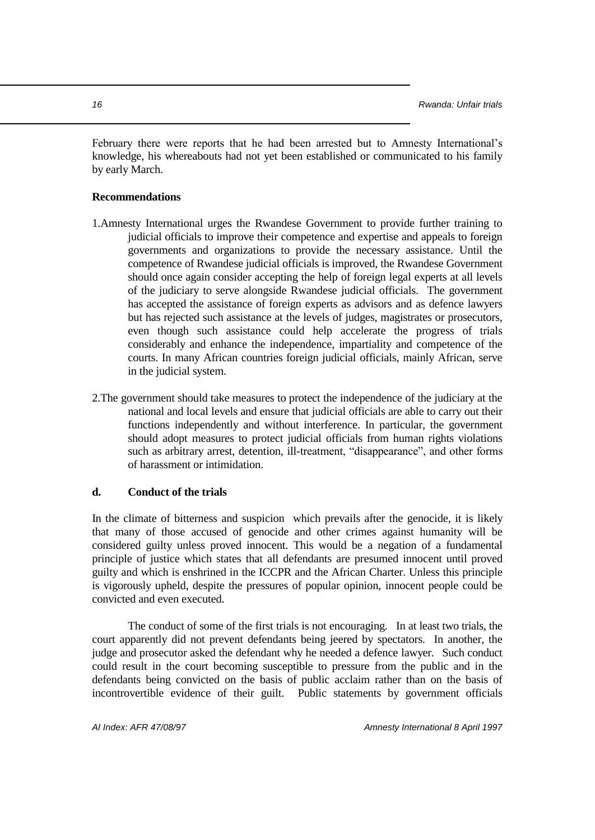February there were reports that he had been arrested but to Amnesty International's knowledge, his whereabouts had not yet been established or communicated to his family by early March.

#### **Recommendations**

- 1.Amnesty International urges the Rwandese Government to provide further training to judicial officials to improve their competence and expertise and appeals to foreign governments and organizations to provide the necessary assistance. Until the competence of Rwandese judicial officials is improved, the Rwandese Government should once again consider accepting the help of foreign legal experts at all levels of the judiciary to serve alongside Rwandese judicial officials. The government has accepted the assistance of foreign experts as advisors and as defence lawyers but has rejected such assistance at the levels of judges, magistrates or prosecutors, even though such assistance could help accelerate the progress of trials considerably and enhance the independence, impartiality and competence of the courts. In many African countries foreign judicial officials, mainly African, serve in the judicial system.
- 2.The government should take measures to protect the independence of the judiciary at the national and local levels and ensure that judicial officials are able to carry out their functions independently and without interference. In particular, the government should adopt measures to protect judicial officials from human rights violations such as arbitrary arrest, detention, ill-treatment, "disappearance", and other forms of harassment or intimidation.

## **d. Conduct of the trials**

In the climate of bitterness and suspicion which prevails after the genocide, it is likely that many of those accused of genocide and other crimes against humanity will be considered guilty unless proved innocent. This would be a negation of a fundamental principle of justice which states that all defendants are presumed innocent until proved guilty and which is enshrined in the ICCPR and the African Charter. Unless this principle is vigorously upheld, despite the pressures of popular opinion, innocent people could be convicted and even executed.

The conduct of some of the first trials is not encouraging. In at least two trials, the court apparently did not prevent defendants being jeered by spectators. In another, the judge and prosecutor asked the defendant why he needed a defence lawyer. Such conduct could result in the court becoming susceptible to pressure from the public and in the defendants being convicted on the basis of public acclaim rather than on the basis of incontrovertible evidence of their guilt. Public statements by government officials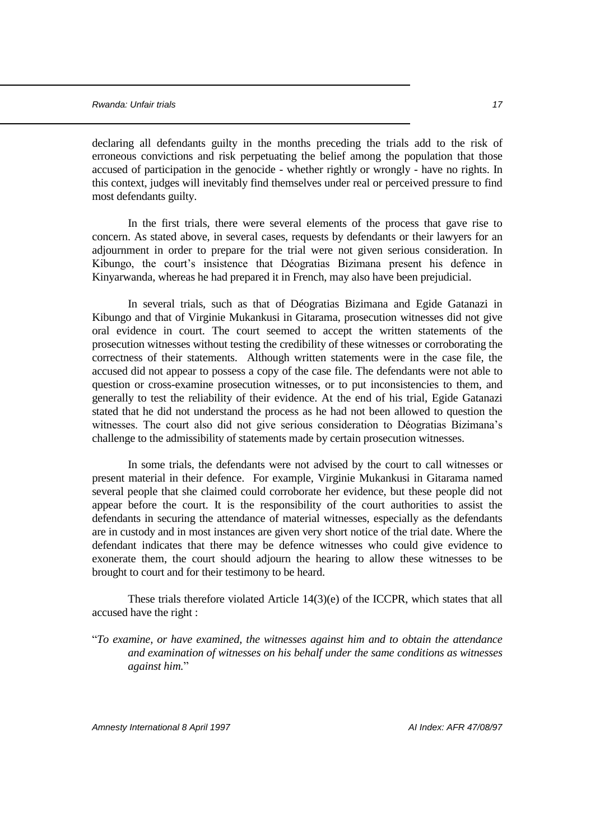declaring all defendants guilty in the months preceding the trials add to the risk of erroneous convictions and risk perpetuating the belief among the population that those accused of participation in the genocide - whether rightly or wrongly - have no rights. In this context, judges will inevitably find themselves under real or perceived pressure to find most defendants guilty.

In the first trials, there were several elements of the process that gave rise to concern. As stated above, in several cases, requests by defendants or their lawyers for an adjournment in order to prepare for the trial were not given serious consideration. In Kibungo, the court's insistence that Déogratias Bizimana present his defence in Kinyarwanda, whereas he had prepared it in French, may also have been prejudicial.

In several trials, such as that of Déogratias Bizimana and Egide Gatanazi in Kibungo and that of Virginie Mukankusi in Gitarama, prosecution witnesses did not give oral evidence in court. The court seemed to accept the written statements of the prosecution witnesses without testing the credibility of these witnesses or corroborating the correctness of their statements. Although written statements were in the case file, the accused did not appear to possess a copy of the case file. The defendants were not able to question or cross-examine prosecution witnesses, or to put inconsistencies to them, and generally to test the reliability of their evidence. At the end of his trial, Egide Gatanazi stated that he did not understand the process as he had not been allowed to question the witnesses. The court also did not give serious consideration to Déogratias Bizimana's challenge to the admissibility of statements made by certain prosecution witnesses.

In some trials, the defendants were not advised by the court to call witnesses or present material in their defence. For example, Virginie Mukankusi in Gitarama named several people that she claimed could corroborate her evidence, but these people did not appear before the court. It is the responsibility of the court authorities to assist the defendants in securing the attendance of material witnesses, especially as the defendants are in custody and in most instances are given very short notice of the trial date. Where the defendant indicates that there may be defence witnesses who could give evidence to exonerate them, the court should adjourn the hearing to allow these witnesses to be brought to court and for their testimony to be heard.

These trials therefore violated Article 14(3)(e) of the ICCPR, which states that all accused have the right :

"*To examine, or have examined, the witnesses against him and to obtain the attendance and examination of witnesses on his behalf under the same conditions as witnesses against him.*"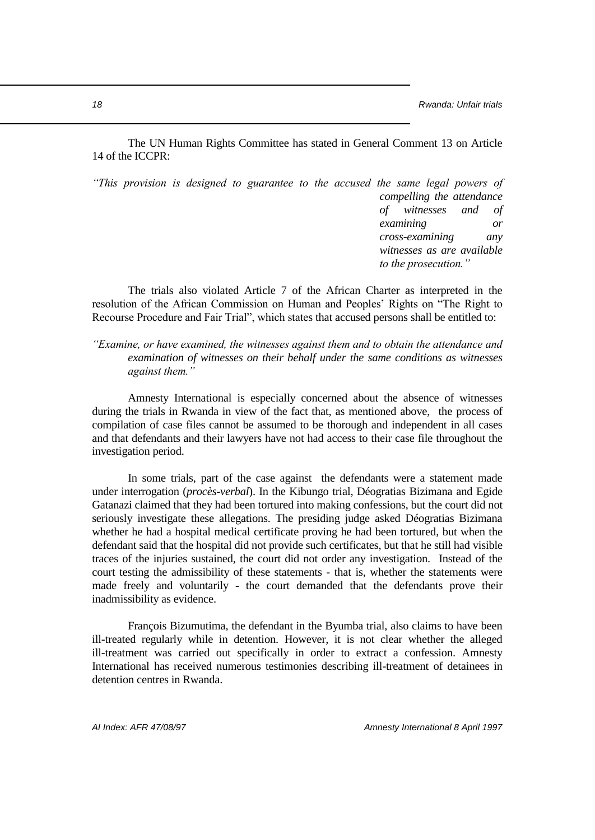The UN Human Rights Committee has stated in General Comment 13 on Article 14 of the ICCPR:

*"This provision is designed to guarantee to the accused the same legal powers of compelling the attendance of witnesses and of examining or cross-examining any witnesses as are available to the prosecution."*

The trials also violated Article 7 of the African Charter as interpreted in the resolution of the African Commission on Human and Peoples' Rights on "The Right to Recourse Procedure and Fair Trial", which states that accused persons shall be entitled to:

*"Examine, or have examined, the witnesses against them and to obtain the attendance and examination of witnesses on their behalf under the same conditions as witnesses against them."*

Amnesty International is especially concerned about the absence of witnesses during the trials in Rwanda in view of the fact that, as mentioned above, the process of compilation of case files cannot be assumed to be thorough and independent in all cases and that defendants and their lawyers have not had access to their case file throughout the investigation period.

In some trials, part of the case against the defendants were a statement made under interrogation (*procès-verbal*). In the Kibungo trial, Déogratias Bizimana and Egide Gatanazi claimed that they had been tortured into making confessions, but the court did not seriously investigate these allegations. The presiding judge asked Déogratias Bizimana whether he had a hospital medical certificate proving he had been tortured, but when the defendant said that the hospital did not provide such certificates, but that he still had visible traces of the injuries sustained, the court did not order any investigation. Instead of the court testing the admissibility of these statements - that is, whether the statements were made freely and voluntarily - the court demanded that the defendants prove their inadmissibility as evidence.

François Bizumutima, the defendant in the Byumba trial, also claims to have been ill-treated regularly while in detention. However, it is not clear whether the alleged ill-treatment was carried out specifically in order to extract a confession. Amnesty International has received numerous testimonies describing ill-treatment of detainees in detention centres in Rwanda.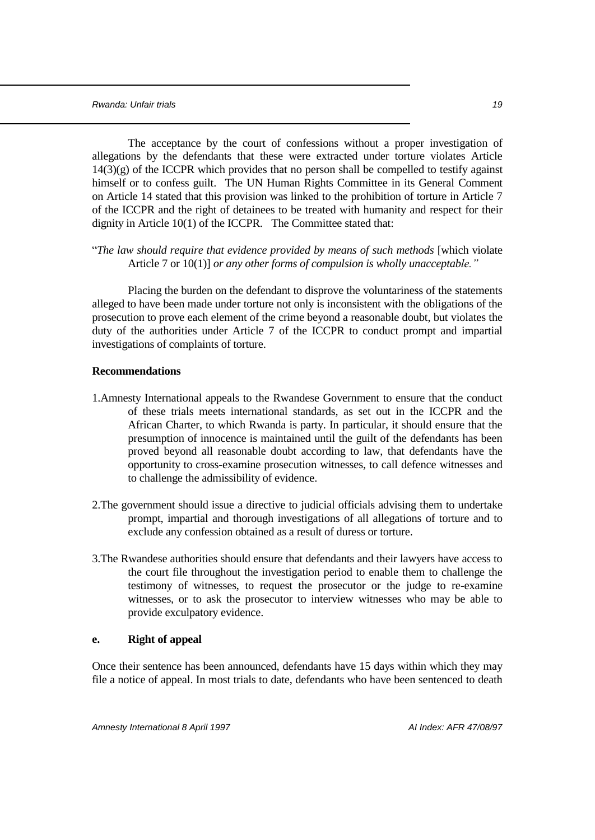The acceptance by the court of confessions without a proper investigation of allegations by the defendants that these were extracted under torture violates Article  $14(3)(g)$  of the ICCPR which provides that no person shall be compelled to testify against himself or to confess guilt. The UN Human Rights Committee in its General Comment on Article 14 stated that this provision was linked to the prohibition of torture in Article 7 of the ICCPR and the right of detainees to be treated with humanity and respect for their dignity in Article 10(1) of the ICCPR. The Committee stated that:

"*The law should require that evidence provided by means of such methods* [which violate Article 7 or 10(1)] *or any other forms of compulsion is wholly unacceptable."*

Placing the burden on the defendant to disprove the voluntariness of the statements alleged to have been made under torture not only is inconsistent with the obligations of the prosecution to prove each element of the crime beyond a reasonable doubt, but violates the duty of the authorities under Article 7 of the ICCPR to conduct prompt and impartial investigations of complaints of torture.

#### **Recommendations**

- 1.Amnesty International appeals to the Rwandese Government to ensure that the conduct of these trials meets international standards, as set out in the ICCPR and the African Charter, to which Rwanda is party. In particular, it should ensure that the presumption of innocence is maintained until the guilt of the defendants has been proved beyond all reasonable doubt according to law, that defendants have the opportunity to cross-examine prosecution witnesses, to call defence witnesses and to challenge the admissibility of evidence.
- 2.The government should issue a directive to judicial officials advising them to undertake prompt, impartial and thorough investigations of all allegations of torture and to exclude any confession obtained as a result of duress or torture.
- 3.The Rwandese authorities should ensure that defendants and their lawyers have access to the court file throughout the investigation period to enable them to challenge the testimony of witnesses, to request the prosecutor or the judge to re-examine witnesses, or to ask the prosecutor to interview witnesses who may be able to provide exculpatory evidence.

#### **e. Right of appeal**

Once their sentence has been announced, defendants have 15 days within which they may file a notice of appeal. In most trials to date, defendants who have been sentenced to death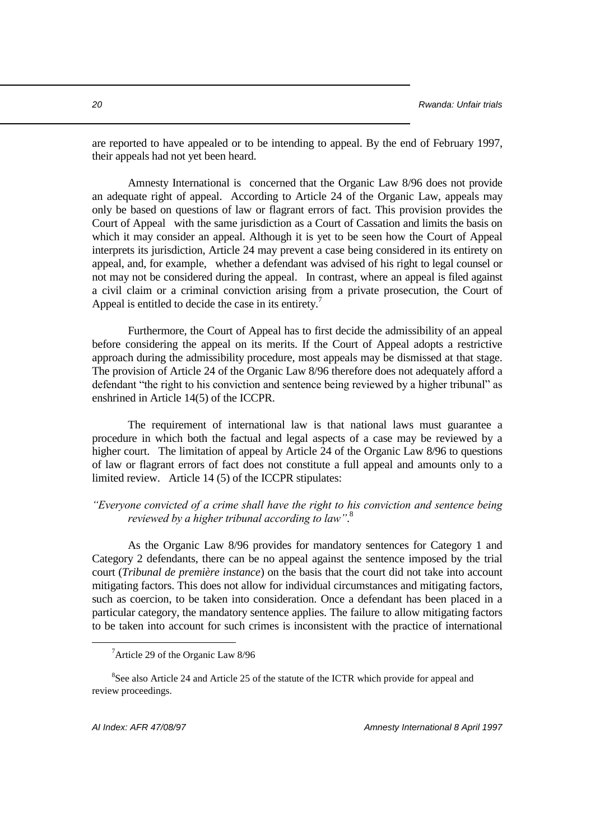are reported to have appealed or to be intending to appeal. By the end of February 1997, their appeals had not yet been heard.

Amnesty International is concerned that the Organic Law 8/96 does not provide an adequate right of appeal. According to Article 24 of the Organic Law, appeals may only be based on questions of law or flagrant errors of fact. This provision provides the Court of Appeal with the same jurisdiction as a Court of Cassation and limits the basis on which it may consider an appeal. Although it is yet to be seen how the Court of Appeal interprets its jurisdiction, Article 24 may prevent a case being considered in its entirety on appeal, and, for example, whether a defendant was advised of his right to legal counsel or not may not be considered during the appeal. In contrast, where an appeal is filed against a civil claim or a criminal conviction arising from a private prosecution, the Court of Appeal is entitled to decide the case in its entirety.<sup>7</sup>

Furthermore, the Court of Appeal has to first decide the admissibility of an appeal before considering the appeal on its merits. If the Court of Appeal adopts a restrictive approach during the admissibility procedure, most appeals may be dismissed at that stage. The provision of Article 24 of the Organic Law 8/96 therefore does not adequately afford a defendant "the right to his conviction and sentence being reviewed by a higher tribunal" as enshrined in Article 14(5) of the ICCPR.

The requirement of international law is that national laws must guarantee a procedure in which both the factual and legal aspects of a case may be reviewed by a higher court. The limitation of appeal by Article 24 of the Organic Law 8/96 to questions of law or flagrant errors of fact does not constitute a full appeal and amounts only to a limited review. Article 14 (5) of the ICCPR stipulates:

## *"Everyone convicted of a crime shall have the right to his conviction and sentence being reviewed by a higher tribunal according to law"*. 8

As the Organic Law 8/96 provides for mandatory sentences for Category 1 and Category 2 defendants, there can be no appeal against the sentence imposed by the trial court (*Tribunal de première instance*) on the basis that the court did not take into account mitigating factors. This does not allow for individual circumstances and mitigating factors, such as coercion, to be taken into consideration. Once a defendant has been placed in a particular category, the mandatory sentence applies. The failure to allow mitigating factors to be taken into account for such crimes is inconsistent with the practice of international

<sup>7</sup>Article 29 of the Organic Law 8/96

<sup>&</sup>lt;sup>8</sup>See also Article 24 and Article 25 of the statute of the ICTR which provide for appeal and review proceedings.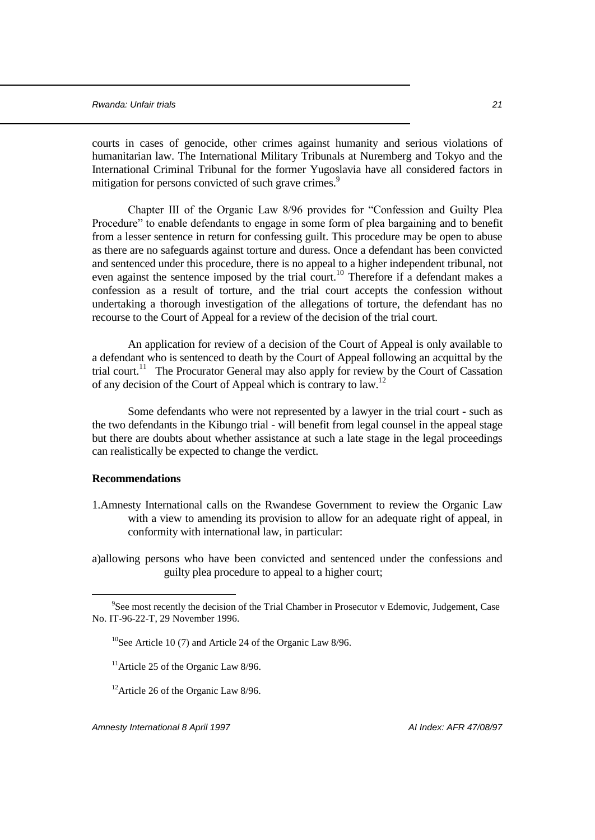courts in cases of genocide, other crimes against humanity and serious violations of humanitarian law. The International Military Tribunals at Nuremberg and Tokyo and the International Criminal Tribunal for the former Yugoslavia have all considered factors in mitigation for persons convicted of such grave crimes.<sup>9</sup>

Chapter III of the Organic Law 8/96 provides for "Confession and Guilty Plea Procedure" to enable defendants to engage in some form of plea bargaining and to benefit from a lesser sentence in return for confessing guilt. This procedure may be open to abuse as there are no safeguards against torture and duress. Once a defendant has been convicted and sentenced under this procedure, there is no appeal to a higher independent tribunal, not even against the sentence imposed by the trial court.<sup>10</sup> Therefore if a defendant makes a confession as a result of torture, and the trial court accepts the confession without undertaking a thorough investigation of the allegations of torture, the defendant has no recourse to the Court of Appeal for a review of the decision of the trial court.

An application for review of a decision of the Court of Appeal is only available to a defendant who is sentenced to death by the Court of Appeal following an acquittal by the trial court.<sup>11</sup> The Procurator General may also apply for review by the Court of Cassation of any decision of the Court of Appeal which is contrary to law.<sup>12</sup>

Some defendants who were not represented by a lawyer in the trial court - such as the two defendants in the Kibungo trial - will benefit from legal counsel in the appeal stage but there are doubts about whether assistance at such a late stage in the legal proceedings can realistically be expected to change the verdict.

## **Recommendations**

÷.

1.Amnesty International calls on the Rwandese Government to review the Organic Law with a view to amending its provision to allow for an adequate right of appeal, in conformity with international law, in particular:

a)allowing persons who have been convicted and sentenced under the confessions and guilty plea procedure to appeal to a higher court;

<sup>&</sup>lt;sup>9</sup>See most recently the decision of the Trial Chamber in Prosecutor v Edemovic, Judgement, Case No. IT-96-22-T, 29 November 1996.

<sup>&</sup>lt;sup>10</sup>See Article 10 (7) and Article 24 of the Organic Law  $8/96$ .

<sup>&</sup>lt;sup>11</sup>Article 25 of the Organic Law  $8/96$ .

 $12$ Article 26 of the Organic Law 8/96.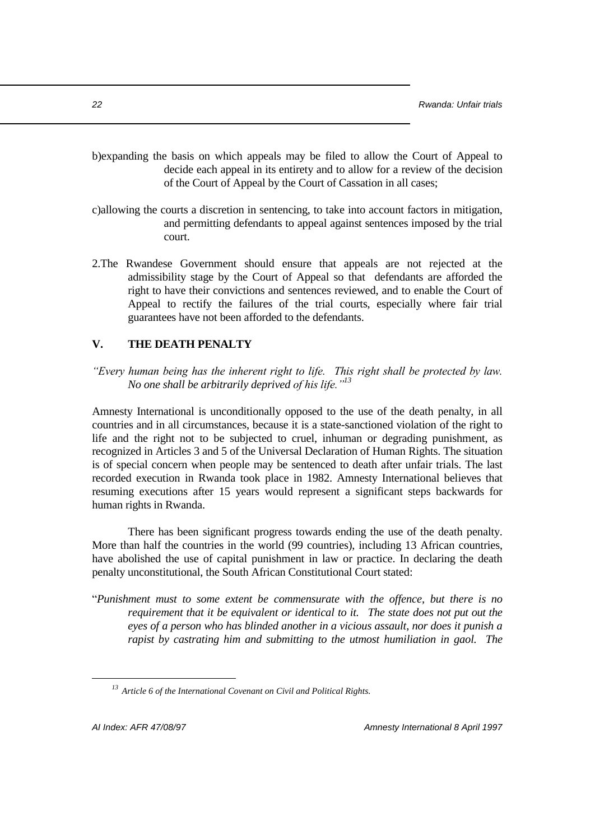- b)expanding the basis on which appeals may be filed to allow the Court of Appeal to decide each appeal in its entirety and to allow for a review of the decision of the Court of Appeal by the Court of Cassation in all cases;
- c)allowing the courts a discretion in sentencing, to take into account factors in mitigation, and permitting defendants to appeal against sentences imposed by the trial court.
- 2.The Rwandese Government should ensure that appeals are not rejected at the admissibility stage by the Court of Appeal so that defendants are afforded the right to have their convictions and sentences reviewed, and to enable the Court of Appeal to rectify the failures of the trial courts, especially where fair trial guarantees have not been afforded to the defendants.

## **V. THE DEATH PENALTY**

*"Every human being has the inherent right to life. This right shall be protected by law. No one shall be arbitrarily deprived of his life."<sup>13</sup>*

Amnesty International is unconditionally opposed to the use of the death penalty, in all countries and in all circumstances, because it is a state-sanctioned violation of the right to life and the right not to be subjected to cruel, inhuman or degrading punishment, as recognized in Articles 3 and 5 of the Universal Declaration of Human Rights. The situation is of special concern when people may be sentenced to death after unfair trials. The last recorded execution in Rwanda took place in 1982. Amnesty International believes that resuming executions after 15 years would represent a significant steps backwards for human rights in Rwanda.

There has been significant progress towards ending the use of the death penalty. More than half the countries in the world (99 countries), including 13 African countries, have abolished the use of capital punishment in law or practice. In declaring the death penalty unconstitutional, the South African Constitutional Court stated:

"*Punishment must to some extent be commensurate with the offence, but there is no requirement that it be equivalent or identical to it. The state does not put out the eyes of a person who has blinded another in a vicious assault, nor does it punish a rapist by castrating him and submitting to the utmost humiliation in gaol. The* 

*<sup>13</sup> Article 6 of the International Covenant on Civil and Political Rights.*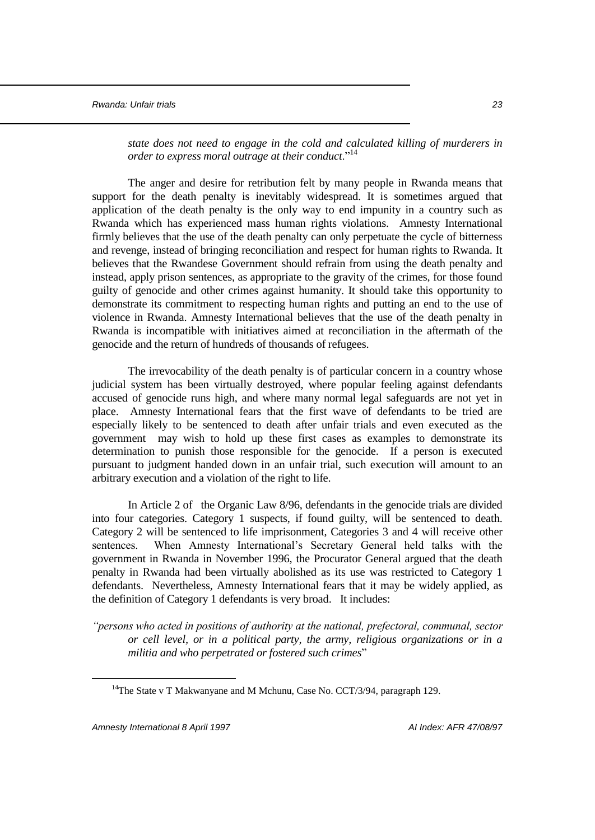*state does not need to engage in the cold and calculated killing of murderers in order to express moral outrage at their conduct.*<sup>14</sup>

The anger and desire for retribution felt by many people in Rwanda means that support for the death penalty is inevitably widespread. It is sometimes argued that application of the death penalty is the only way to end impunity in a country such as Rwanda which has experienced mass human rights violations. Amnesty International firmly believes that the use of the death penalty can only perpetuate the cycle of bitterness and revenge, instead of bringing reconciliation and respect for human rights to Rwanda. It believes that the Rwandese Government should refrain from using the death penalty and instead, apply prison sentences, as appropriate to the gravity of the crimes, for those found guilty of genocide and other crimes against humanity. It should take this opportunity to demonstrate its commitment to respecting human rights and putting an end to the use of violence in Rwanda. Amnesty International believes that the use of the death penalty in Rwanda is incompatible with initiatives aimed at reconciliation in the aftermath of the genocide and the return of hundreds of thousands of refugees.

The irrevocability of the death penalty is of particular concern in a country whose judicial system has been virtually destroyed, where popular feeling against defendants accused of genocide runs high, and where many normal legal safeguards are not yet in place. Amnesty International fears that the first wave of defendants to be tried are especially likely to be sentenced to death after unfair trials and even executed as the government may wish to hold up these first cases as examples to demonstrate its determination to punish those responsible for the genocide. If a person is executed pursuant to judgment handed down in an unfair trial, such execution will amount to an arbitrary execution and a violation of the right to life.

In Article 2 of the Organic Law 8/96, defendants in the genocide trials are divided into four categories. Category 1 suspects, if found guilty, will be sentenced to death. Category 2 will be sentenced to life imprisonment, Categories 3 and 4 will receive other sentences. When Amnesty International's Secretary General held talks with the government in Rwanda in November 1996, the Procurator General argued that the death penalty in Rwanda had been virtually abolished as its use was restricted to Category 1 defendants. Nevertheless, Amnesty International fears that it may be widely applied, as the definition of Category 1 defendants is very broad. It includes:

*"persons who acted in positions of authority at the national, prefectoral, communal, sector or cell level, or in a political party, the army, religious organizations or in a militia and who perpetrated or fostered such crimes*"

*Amnesty International 8 April 1997 AI Index: AFR 47/08/97*

<sup>&</sup>lt;sup>14</sup>The State v T Makwanyane and M Mchunu, Case No. CCT/3/94, paragraph 129.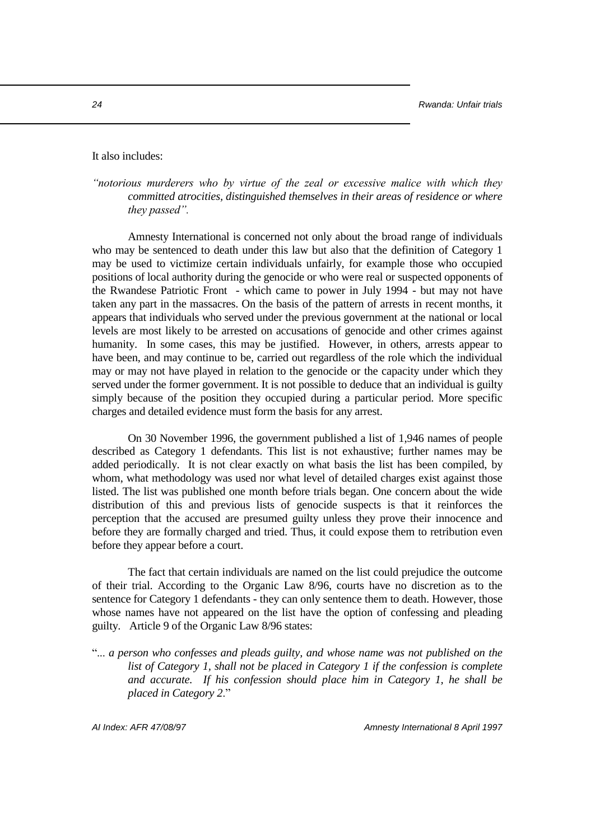#### It also includes:

*"notorious murderers who by virtue of the zeal or excessive malice with which they committed atrocities, distinguished themselves in their areas of residence or where they passed".* 

Amnesty International is concerned not only about the broad range of individuals who may be sentenced to death under this law but also that the definition of Category 1 may be used to victimize certain individuals unfairly, for example those who occupied positions of local authority during the genocide or who were real or suspected opponents of the Rwandese Patriotic Front - which came to power in July 1994 - but may not have taken any part in the massacres. On the basis of the pattern of arrests in recent months, it appears that individuals who served under the previous government at the national or local levels are most likely to be arrested on accusations of genocide and other crimes against humanity. In some cases, this may be justified. However, in others, arrests appear to have been, and may continue to be, carried out regardless of the role which the individual may or may not have played in relation to the genocide or the capacity under which they served under the former government. It is not possible to deduce that an individual is guilty simply because of the position they occupied during a particular period. More specific charges and detailed evidence must form the basis for any arrest.

On 30 November 1996, the government published a list of 1,946 names of people described as Category 1 defendants. This list is not exhaustive; further names may be added periodically. It is not clear exactly on what basis the list has been compiled, by whom, what methodology was used nor what level of detailed charges exist against those listed. The list was published one month before trials began. One concern about the wide distribution of this and previous lists of genocide suspects is that it reinforces the perception that the accused are presumed guilty unless they prove their innocence and before they are formally charged and tried. Thus, it could expose them to retribution even before they appear before a court.

The fact that certain individuals are named on the list could prejudice the outcome of their trial. According to the Organic Law 8/96, courts have no discretion as to the sentence for Category 1 defendants - they can only sentence them to death. However, those whose names have not appeared on the list have the option of confessing and pleading guilty. Article 9 of the Organic Law 8/96 states:

"... *a person who confesses and pleads guilty, and whose name was not published on the list of Category 1, shall not be placed in Category 1 if the confession is complete and accurate. If his confession should place him in Category 1, he shall be placed in Category 2*."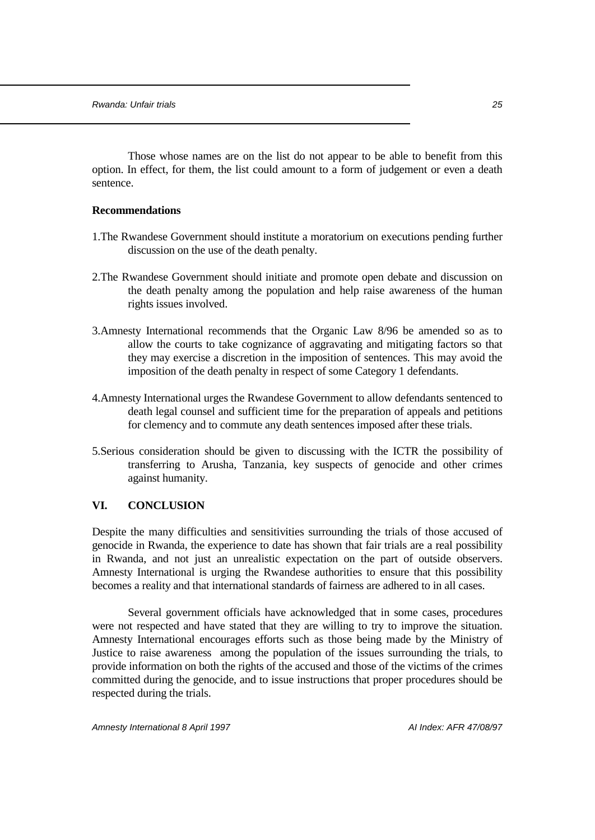Those whose names are on the list do not appear to be able to benefit from this option. In effect, for them, the list could amount to a form of judgement or even a death sentence.

#### **Recommendations**

- 1.The Rwandese Government should institute a moratorium on executions pending further discussion on the use of the death penalty.
- 2.The Rwandese Government should initiate and promote open debate and discussion on the death penalty among the population and help raise awareness of the human rights issues involved.
- 3.Amnesty International recommends that the Organic Law 8/96 be amended so as to allow the courts to take cognizance of aggravating and mitigating factors so that they may exercise a discretion in the imposition of sentences. This may avoid the imposition of the death penalty in respect of some Category 1 defendants.
- 4.Amnesty International urges the Rwandese Government to allow defendants sentenced to death legal counsel and sufficient time for the preparation of appeals and petitions for clemency and to commute any death sentences imposed after these trials.
- 5.Serious consideration should be given to discussing with the ICTR the possibility of transferring to Arusha, Tanzania, key suspects of genocide and other crimes against humanity.

## **VI. CONCLUSION**

Despite the many difficulties and sensitivities surrounding the trials of those accused of genocide in Rwanda, the experience to date has shown that fair trials are a real possibility in Rwanda, and not just an unrealistic expectation on the part of outside observers. Amnesty International is urging the Rwandese authorities to ensure that this possibility becomes a reality and that international standards of fairness are adhered to in all cases.

Several government officials have acknowledged that in some cases, procedures were not respected and have stated that they are willing to try to improve the situation. Amnesty International encourages efforts such as those being made by the Ministry of Justice to raise awareness among the population of the issues surrounding the trials, to provide information on both the rights of the accused and those of the victims of the crimes committed during the genocide, and to issue instructions that proper procedures should be respected during the trials.